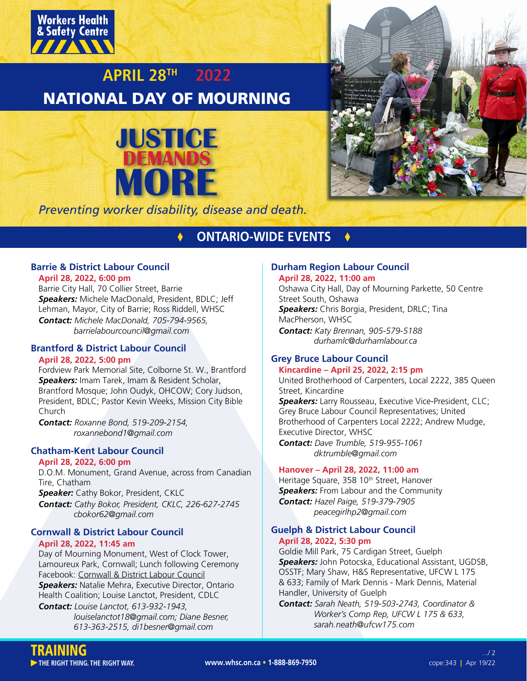

# **APRIL 28TH 2022** NATIONAL DAY OF MOURNING





*Preventing worker disability, disease and death.*

## **times ONTARIO-WIDE EVENTS &**

## **Barrie & District Labour Council**

**April 28, 2022, 6:00 pm**

Barrie City Hall, 70 Collier Street, Barrie *Speakers:* Michele MacDonald, President, BDLC; Jeff Lehman, Mayor, City of Barrie; Ross Riddell, WHSC *Contact: Michele MacDonald, 705-794-9565, barrielabourcouncil@gmail.com*

## **Brantford & District Labour Council**

## **April 28, 2022, 5:00 pm**

Fordview Park Memorial Site, Colborne St. W., Brantford *Speakers:* Imam Tarek, Imam & Resident Scholar, Brantford Mosque; John Oudyk, OHCOW; Cory Judson, President, BDLC; Pastor Kevin Weeks, Mission City Bible Church

*Contact: Roxanne Bond, 519-209-2154, roxannebond1@gmail.com*

## **Chatham-Kent Labour Council**

## **April 28, 2022, 6:00 pm**

D.O.M. Monument, Grand Avenue, across from Canadian Tire, Chatham

*Speaker:* Cathy Bokor, President, CKLC *Contact: Cathy Bokor, President, CKLC, 226-627-2745 cbokor62@gmail.com*

## **Cornwall & District Labour Council April 28, 2022, 11:45 am**

Day of Mourning Monument, West of Clock Tower, Lamoureux Park, Cornwall; Lunch following Ceremony Facebook: [Cornwall & District Labour Council](https://www.facebook.com/CDLabourCouncil/) *Speakers:* Natalie Mehra, Executive Director, Ontario Health Coalition; Louise Lanctot, President, CDLC *Contact: Louise Lanctot, 613-932-1943,* 

 *louiselanctot18@gmail.com; Diane Besner, 613-363-2515, di1besner@gmail.com*

### **Durham Region Labour Council April 28, 2022, 11:00 am**

Oshawa City Hall, Day of Mourning Parkette, 50 Centre Street South, Oshawa *Speakers:* Chris Borgia, President, DRLC; Tina MacPherson, WHSC

*Contact: Katy Brennan, 905-579-5188 durhamlc@durhamlabour.ca*

## **Grey Bruce Labour Council**

## **Kincardine – April 25, 2022, 2:15 pm**

United Brotherhood of Carpenters, Local 2222, 385 Queen Street, Kincardine

*Speakers:* Larry Rousseau, Executive Vice-President, CLC; Grey Bruce Labour Council Representatives; United Brotherhood of Carpenters Local 2222; Andrew Mudge, Executive Director, WHSC *Contact: Dave Trumble, 519-955-1061* 

 *dktrumble@gmail.com*

## **Hanover – April 28, 2022, 11:00 am**

Heritage Square, 358 10<sup>th</sup> Street, Hanover **Speakers:** From Labour and the Community *Contact: Hazel Paige, 519-379-7905 peacegirlhp2@gmail.com*

## **Guelph & District Labour Council April 28, 2022, 5:30 pm**

Goldie Mill Park, 75 Cardigan Street, Guelph *Speakers:* John Potocska, Educational Assistant, UGDSB, OSSTF; Mary Shaw, H&S Representative, UFCW L 175 & 633; Family of Mark Dennis - Mark Dennis, Material Handler, University of Guelph

*Contact: Sarah Neath, 519-503-2743, Coordinator & Worker's Comp Rep, UFCW L 175 & 633, sarah.neath@ufcw175.com*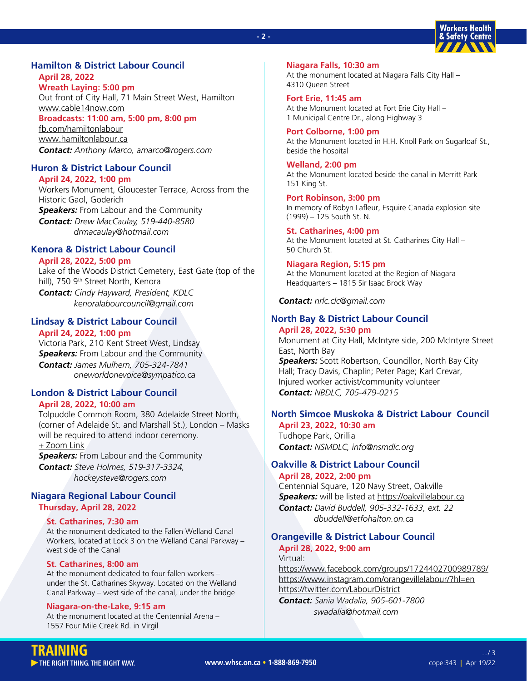#### **- 2 -**



## **Hamilton & District Labour Council April 28, 2022**

**Wreath Laying: 5:00 pm** Out front of City Hall, 71 Main Street West, Hamilton [www.cable14now.com](https://cable14now.com/live-streams/) **Broadcasts: 11:00 am, 5:00 pm, 8:00 pm** [fb.com/hamiltonlabour](https://www.facebook.com/hamiltonlabour) [www.hamiltonlabour.ca](https://www.hamiltonlabour.ca/) *Contact: Anthony Marco, amarco@rogers.com*

## **Huron & District Labour Council**

**April 24, 2022, 1:00 pm** Workers Monument, Gloucester Terrace, Across from the Historic Gaol, Goderich *Speakers:* From Labour and the Community *Contact: Drew MacCaulay, 519-440-8580 drmacaulay@hotmail.com*

## **Kenora & District Labour Council**

### **April 28, 2022, 5:00 pm**

Lake of the Woods District Cemetery, East Gate (top of the hill), 750 9<sup>th</sup> Street North, Kenora *Contact: Cindy Hayward, President, KDLC kenoralabourcouncil@gmail.com*

## **Lindsay & District Labour Council**

## **April 24, 2022, 1:00 pm**

Victoria Park, 210 Kent Street West, Lindsay **Speakers:** From Labour and the Community *Contact: James Mulhern, 705-324-7841 oneworldonevoice@sympatico.ca*

## **London & District Labour Council**

#### **April 28, 2022, 10:00 am**

Tolpuddle Common Room, 380 Adelaide Street North, (corner of Adelaide St. and Marshall St.), London – Masks will be required to attend indoor ceremony. [+ Zoom Link](https://us02web.zoom.us/j/84769221017?pwd=d0JJcFlnd3U5ZVRyZXZYRWgzNlIwUT09)

*Speakers:* From Labour and the Community *Contact: Steve Holmes, 519-317-3324, hockeysteve@rogers.com*

### **Niagara Regional Labour Council Thursday, April 28, 2022**

## **St. Catharines, 7:30 am**

At the monument dedicated to the Fallen Welland Canal Workers, located at Lock 3 on the Welland Canal Parkway – west side of the Canal

## **St. Catharines, 8:00 am**

At the monument dedicated to four fallen workers – under the St. Catharines Skyway. Located on the Welland Canal Parkway – west side of the canal, under the bridge

#### **Niagara-on-the-Lake, 9:15 am**

At the monument located at the Centennial Arena – 1557 Four Mile Creek Rd. in Virgil

**Niagara Falls, 10:30 am** At the monument located at Niagara Falls City Hall – 4310 Queen Street

**Fort Erie, 11:45 am** At the Monument located at Fort Erie City Hall – 1 Municipal Centre Dr., along Highway 3

**Port Colborne, 1:00 pm** At the Monument located in H.H. Knoll Park on Sugarloaf St., beside the hospital

**Welland, 2:00 pm** At the Monument located beside the canal in Merritt Park – 151 King St.

**Port Robinson, 3:00 pm** In memory of Robyn Lafleur, Esquire Canada explosion site (1999) – 125 South St. N.

**St. Catharines, 4:00 pm** At the Monument located at St. Catharines City Hall – 50 Church St.

**Niagara Region, 5:15 pm** At the Monument located at the Region of Niagara Headquarters – 1815 Sir Isaac Brock Way

*Contact: nrlc.clc@gmail.com*

## **North Bay & District Labour Council**

## **April 28, 2022, 5:30 pm** Monument at City Hall, McIntyre side, 200 McIntyre Street East, North Bay *Speakers:* Scott Robertson, Councillor, North Bay City Hall; Tracy Davis, Chaplin; Peter Page; Karl Crevar, Injured worker activist/community volunteer *Contact: NBDLC, 705-479-0215*

## **North Simcoe Muskoka & District Labour Council**

**April 23, 2022, 10:30 am** Tudhope Park, Orillia *Contact: NSMDLC, info@nsmdlc.org*

### **Oakville & District Labour Council April 28, 2022, 2:00 pm**

Centennial Square, 120 Navy Street, Oakville **Speakers:** will be listed at<https://oakvillelabour.ca> *Contact: David Buddell, 905-332-1633, ext. 22 dbuddell@etfohalton.on.ca*

## **Orangeville & District Labour Council April 28, 2022, 9:00 am**

Virtual:

<https://www.facebook.com/groups/1724402700989789/> <https://www.instagram.com/orangevillelabour/?hl=en> <https://twitter.com/LabourDistrict> *Contact: Sania Wadalia, 905-601-7800*

 *swadalia@hotmail.com*